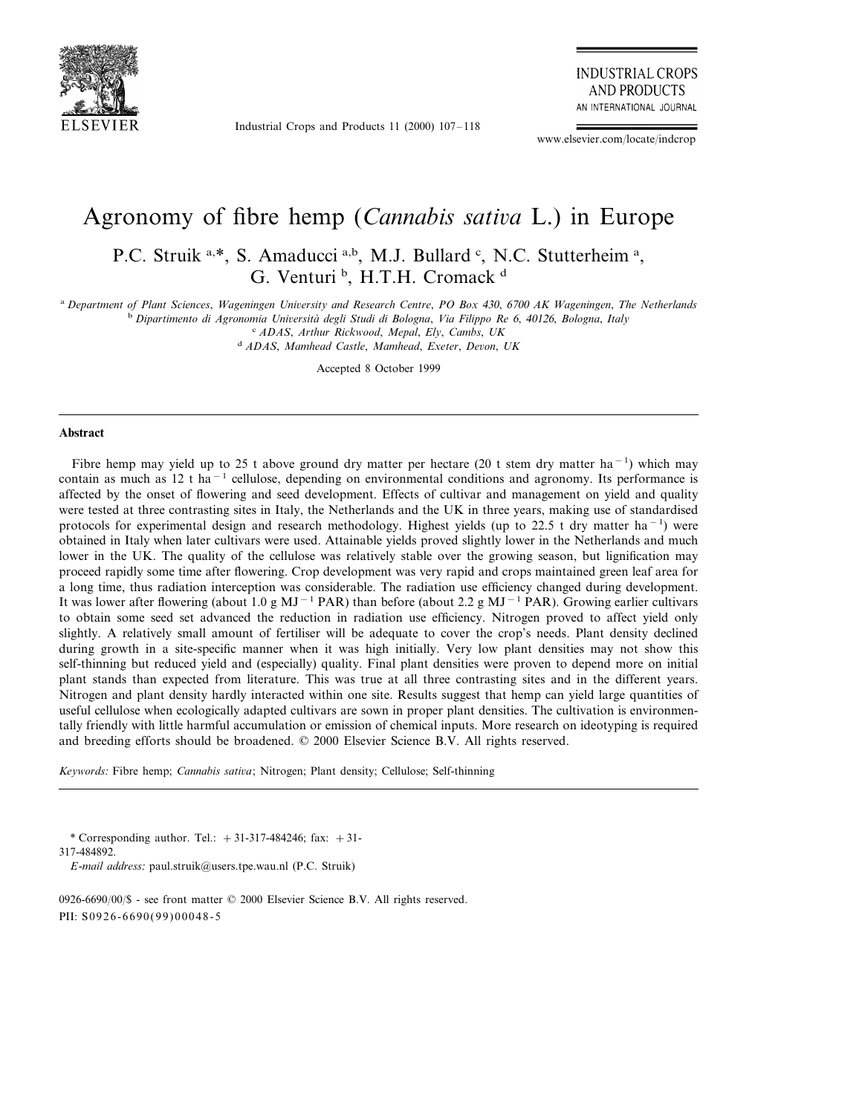

Industrial Crops and Products 11 (2000) 107–118

www.elsevier.com/locate/indcrop

# Agronomy of fibre hemp (*Cannabis sativa* L.) in Europe

P.C. Struik a,\*, S. Amaducci a,b, M.J. Bullard c, N.C. Stutterheim a, G. Venturi<sup>b</sup>, H.T.H. Cromack<sup>d</sup>

<sup>a</sup> *Department of Plant Sciences*, *Wageningen Uni*6*ersity and Research Centre*, *PO Box* <sup>430</sup>, <sup>6700</sup> *AK Wageningen*, *The Netherlands*

<sup>b</sup> *Dipartimento di Agronomia Uni*6*ersita` degli Studi di Bologna*, *Via Filippo Re* <sup>6</sup>, <sup>40126</sup>, *Bologna*, *Italy*

<sup>c</sup> *ADAS*, *Arthur Rickwood*, *Mepal*, *Ely*, *Cambs*, *UK*

 $d$  *ADAS*, *Mamhead Castle*, *Mamhead*, *Exeter*, *Devon*, *UK* 

Accepted 8 October 1999

### **Abstract**

Fibre hemp may yield up to 25 t above ground dry matter per hectare (20 t stem dry matter ha<sup>-1</sup>) which may contain as much as 12 t ha−<sup>1</sup> cellulose, depending on environmental conditions and agronomy. Its performance is affected by the onset of flowering and seed development. Effects of cultivar and management on yield and quality were tested at three contrasting sites in Italy, the Netherlands and the UK in three years, making use of standardised protocols for experimental design and research methodology. Highest yields (up to 22.5 t dry matter ha<sup>-1</sup>) were obtained in Italy when later cultivars were used. Attainable yields proved slightly lower in the Netherlands and much lower in the UK. The quality of the cellulose was relatively stable over the growing season, but lignification may proceed rapidly some time after flowering. Crop development was very rapid and crops maintained green leaf area for a long time, thus radiation interception was considerable. The radiation use efficiency changed during development. It was lower after flowering (about 1.0 g MJ<sup>-1</sup> PAR) than before (about 2.2 g MJ<sup>-1</sup> PAR). Growing earlier cultivars to obtain some seed set advanced the reduction in radiation use efficiency. Nitrogen proved to affect yield only slightly. A relatively small amount of fertiliser will be adequate to cover the crop's needs. Plant density declined during growth in a site-specific manner when it was high initially. Very low plant densities may not show this self-thinning but reduced yield and (especially) quality. Final plant densities were proven to depend more on initial plant stands than expected from literature. This was true at all three contrasting sites and in the different years. Nitrogen and plant density hardly interacted within one site. Results suggest that hemp can yield large quantities of useful cellulose when ecologically adapted cultivars are sown in proper plant densities. The cultivation is environmentally friendly with little harmful accumulation or emission of chemical inputs. More research on ideotyping is required and breeding efforts should be broadened. © 2000 Elsevier Science B.V. All rights reserved.

*Keywords*: Fibre hemp; *Cannabis sativa*; Nitrogen; Plant density; Cellulose; Self-thinning

\* Corresponding author. Tel.:  $+31-317-484246$ ; fax:  $+31-$ 

317-484892.

*E*-*mail address*: paul.struik@users.tpe.wau.nl (P.C. Struik)

0926-6690/00/\$ - see front matter © 2000 Elsevier Science B.V. All rights reserved. PII: S0926-6690(99)00048-5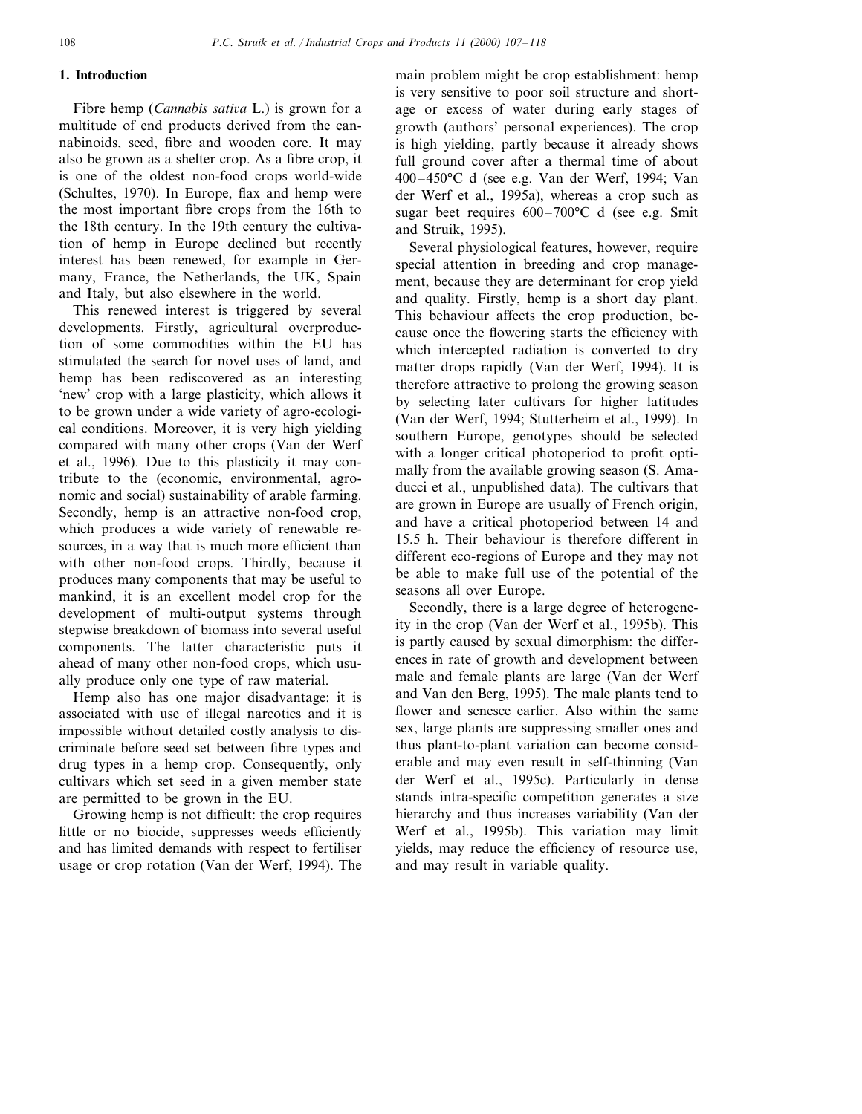# **1. Introduction**

Fibre hemp (*Cannabis sativa* L.) is grown for a multitude of end products derived from the cannabinoids, seed, fibre and wooden core. It may also be grown as a shelter crop. As a fibre crop, it is one of the oldest non-food crops world-wide (Schultes, 1970). In Europe, flax and hemp were the most important fibre crops from the 16th to the 18th century. In the 19th century the cultivation of hemp in Europe declined but recently interest has been renewed, for example in Germany, France, the Netherlands, the UK, Spain and Italy, but also elsewhere in the world.

This renewed interest is triggered by several developments. Firstly, agricultural overproduction of some commodities within the EU has stimulated the search for novel uses of land, and hemp has been rediscovered as an interesting 'new' crop with a large plasticity, which allows it to be grown under a wide variety of agro-ecological conditions. Moreover, it is very high yielding compared with many other crops (Van der Werf et al., 1996). Due to this plasticity it may contribute to the (economic, environmental, agronomic and social) sustainability of arable farming. Secondly, hemp is an attractive non-food crop, which produces a wide variety of renewable resources, in a way that is much more efficient than with other non-food crops. Thirdly, because it produces many components that may be useful to mankind, it is an excellent model crop for the development of multi-output systems through stepwise breakdown of biomass into several useful components. The latter characteristic puts it ahead of many other non-food crops, which usually produce only one type of raw material.

Hemp also has one major disadvantage: it is associated with use of illegal narcotics and it is impossible without detailed costly analysis to discriminate before seed set between fibre types and drug types in a hemp crop. Consequently, only cultivars which set seed in a given member state are permitted to be grown in the EU.

Growing hemp is not difficult: the crop requires little or no biocide, suppresses weeds efficiently and has limited demands with respect to fertiliser usage or crop rotation (Van der Werf, 1994). The

main problem might be crop establishment: hemp is very sensitive to poor soil structure and shortage or excess of water during early stages of growth (authors' personal experiences). The crop is high yielding, partly because it already shows full ground cover after a thermal time of about 400–450°C d (see e.g. Van der Werf, 1994; Van der Werf et al., 1995a), whereas a crop such as sugar beet requires 600–700°C d (see e.g. Smit and Struik, 1995).

Several physiological features, however, require special attention in breeding and crop management, because they are determinant for crop yield and quality. Firstly, hemp is a short day plant. This behaviour affects the crop production, because once the flowering starts the efficiency with which intercepted radiation is converted to dry matter drops rapidly (Van der Werf, 1994). It is therefore attractive to prolong the growing season by selecting later cultivars for higher latitudes (Van der Werf, 1994; Stutterheim et al., 1999). In southern Europe, genotypes should be selected with a longer critical photoperiod to profit optimally from the available growing season (S. Amaducci et al., unpublished data). The cultivars that are grown in Europe are usually of French origin, and have a critical photoperiod between 14 and 15.5 h. Their behaviour is therefore different in different eco-regions of Europe and they may not be able to make full use of the potential of the seasons all over Europe.

Secondly, there is a large degree of heterogeneity in the crop (Van der Werf et al., 1995b). This is partly caused by sexual dimorphism: the differences in rate of growth and development between male and female plants are large (Van der Werf and Van den Berg, 1995). The male plants tend to flower and senesce earlier. Also within the same sex, large plants are suppressing smaller ones and thus plant-to-plant variation can become considerable and may even result in self-thinning (Van der Werf et al., 1995c). Particularly in dense stands intra-specific competition generates a size hierarchy and thus increases variability (Van der Werf et al., 1995b). This variation may limit yields, may reduce the efficiency of resource use, and may result in variable quality.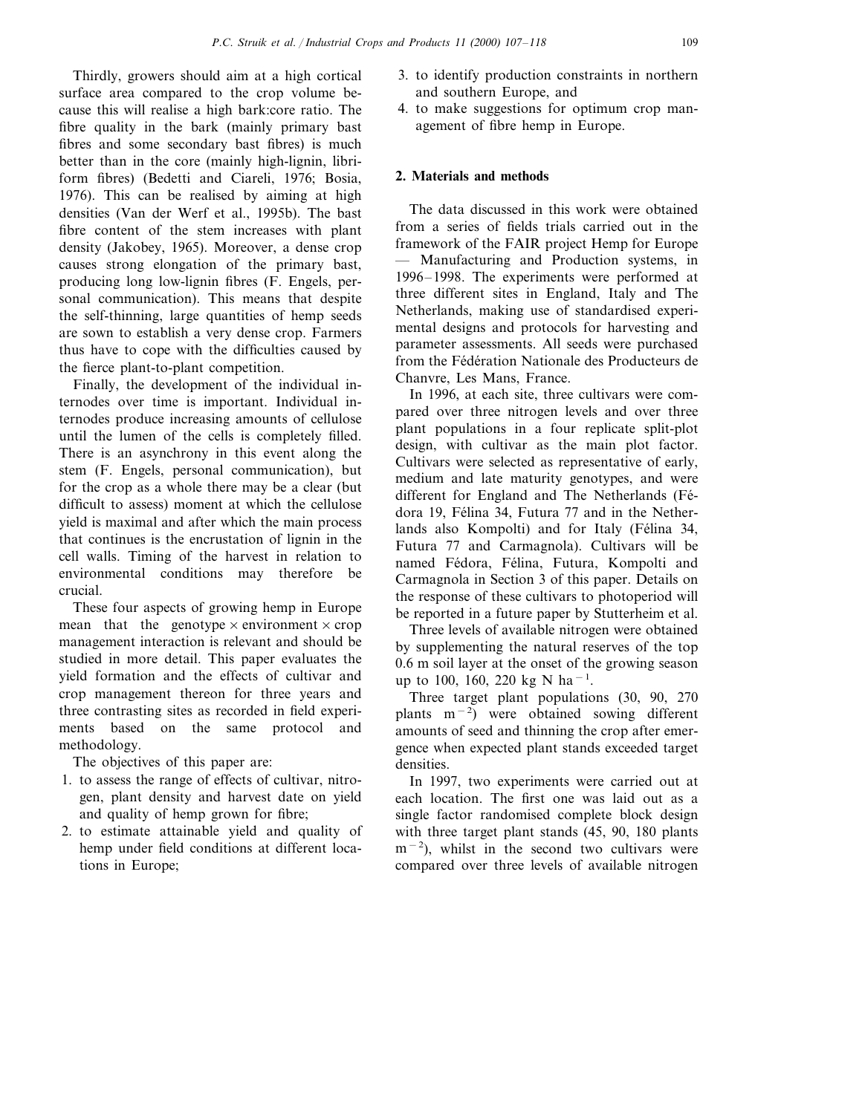Thirdly, growers should aim at a high cortical surface area compared to the crop volume because this will realise a high bark:core ratio. The fibre quality in the bark (mainly primary bast fibres and some secondary bast fibres) is much better than in the core (mainly high-lignin, libriform fibres) (Bedetti and Ciareli, 1976; Bosia, 1976). This can be realised by aiming at high densities (Van der Werf et al., 1995b). The bast fibre content of the stem increases with plant density (Jakobey, 1965). Moreover, a dense crop causes strong elongation of the primary bast, producing long low-lignin fibres (F. Engels, personal communication). This means that despite the self-thinning, large quantities of hemp seeds are sown to establish a very dense crop. Farmers thus have to cope with the difficulties caused by the fierce plant-to-plant competition.

Finally, the development of the individual internodes over time is important. Individual internodes produce increasing amounts of cellulose until the lumen of the cells is completely filled. There is an asynchrony in this event along the stem (F. Engels, personal communication), but for the crop as a whole there may be a clear (but difficult to assess) moment at which the cellulose yield is maximal and after which the main process that continues is the encrustation of lignin in the cell walls. Timing of the harvest in relation to environmental conditions may therefore be crucial.

These four aspects of growing hemp in Europe mean that the genotype  $\times$  environment  $\times$  crop management interaction is relevant and should be studied in more detail. This paper evaluates the yield formation and the effects of cultivar and crop management thereon for three years and three contrasting sites as recorded in field experiments based on the same protocol and methodology.

The objectives of this paper are:

- 1. to assess the range of effects of cultivar, nitrogen, plant density and harvest date on yield and quality of hemp grown for fibre;
- 2. to estimate attainable yield and quality of hemp under field conditions at different locations in Europe;
- 3. to identify production constraints in northern and southern Europe, and
- 4. to make suggestions for optimum crop management of fibre hemp in Europe.

# **2. Materials and methods**

The data discussed in this work were obtained from a series of fields trials carried out in the framework of the FAIR project Hemp for Europe — Manufacturing and Production systems, in 1996–1998. The experiments were performed at three different sites in England, Italy and The Netherlands, making use of standardised experimental designs and protocols for harvesting and parameter assessments. All seeds were purchased from the Fédération Nationale des Producteurs de Chanvre, Les Mans, France.

In 1996, at each site, three cultivars were compared over three nitrogen levels and over three plant populations in a four replicate split-plot design, with cultivar as the main plot factor. Cultivars were selected as representative of early, medium and late maturity genotypes, and were different for England and The Netherlands (Fédora 19, Félina 34, Futura 77 and in the Netherlands also Kompolti) and for Italy (Félina 34, Futura 77 and Carmagnola). Cultivars will be named Fédora, Félina, Futura, Kompolti and Carmagnola in Section 3 of this paper. Details on the response of these cultivars to photoperiod will be reported in a future paper by Stutterheim et al.

Three levels of available nitrogen were obtained by supplementing the natural reserves of the top 0.6 m soil layer at the onset of the growing season up to 100, 160, 220 kg N ha<sup>-1</sup>.

Three target plant populations (30, 90, 270 plants m<sup>−</sup><sup>2</sup> ) were obtained sowing different amounts of seed and thinning the crop after emergence when expected plant stands exceeded target densities.

In 1997, two experiments were carried out at each location. The first one was laid out as a single factor randomised complete block design with three target plant stands (45, 90, 180 plants m−<sup>2</sup> ), whilst in the second two cultivars were compared over three levels of available nitrogen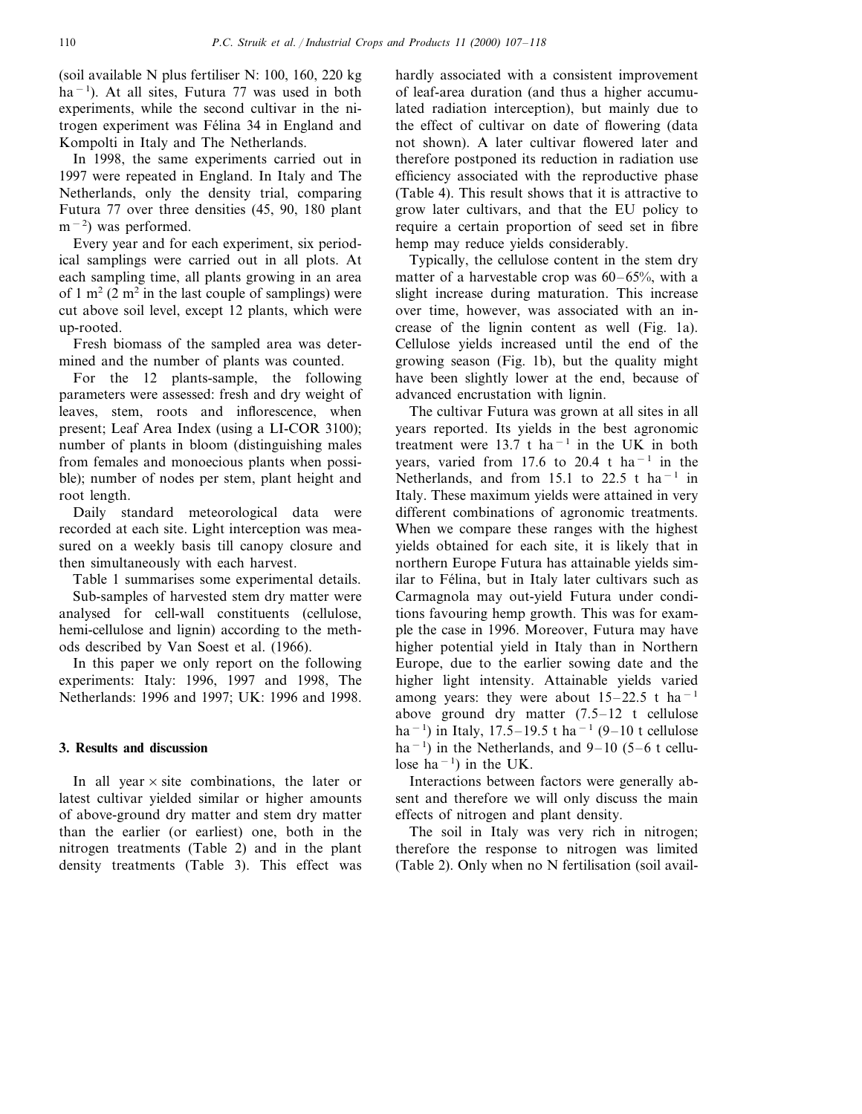(soil available N plus fertiliser N: 100, 160, 220 kg ha−<sup>1</sup> ). At all sites, Futura 77 was used in both experiments, while the second cultivar in the nitrogen experiment was Félina 34 in England and Kompolti in Italy and The Netherlands.

In 1998, the same experiments carried out in 1997 were repeated in England. In Italy and The Netherlands, only the density trial, comparing Futura 77 over three densities (45, 90, 180 plant m−<sup>2</sup> ) was performed.

Every year and for each experiment, six periodical samplings were carried out in all plots. At each sampling time, all plants growing in an area of 1 m<sup>2</sup> (2 m<sup>2</sup> in the last couple of samplings) were cut above soil level, except 12 plants, which were up-rooted.

Fresh biomass of the sampled area was determined and the number of plants was counted.

For the 12 plants-sample, the following parameters were assessed: fresh and dry weight of leaves, stem, roots and inflorescence, when present; Leaf Area Index (using a LI-COR 3100); number of plants in bloom (distinguishing males from females and monoecious plants when possible); number of nodes per stem, plant height and root length.

Daily standard meteorological data were recorded at each site. Light interception was measured on a weekly basis till canopy closure and then simultaneously with each harvest.

Table 1 summarises some experimental details.

Sub-samples of harvested stem dry matter were analysed for cell-wall constituents (cellulose, hemi-cellulose and lignin) according to the methods described by Van Soest et al. (1966).

In this paper we only report on the following experiments: Italy: 1996, 1997 and 1998, The Netherlands: 1996 and 1997; UK: 1996 and 1998.

## **3. Results and discussion**

In all year  $\times$  site combinations, the later or latest cultivar yielded similar or higher amounts of above-ground dry matter and stem dry matter than the earlier (or earliest) one, both in the nitrogen treatments (Table 2) and in the plant density treatments (Table 3). This effect was

hardly associated with a consistent improvement of leaf-area duration (and thus a higher accumulated radiation interception), but mainly due to the effect of cultivar on date of flowering (data not shown). A later cultivar flowered later and therefore postponed its reduction in radiation use efficiency associated with the reproductive phase (Table 4). This result shows that it is attractive to grow later cultivars, and that the EU policy to require a certain proportion of seed set in fibre hemp may reduce yields considerably.

Typically, the cellulose content in the stem dry matter of a harvestable crop was 60–65%, with a slight increase during maturation. This increase over time, however, was associated with an increase of the lignin content as well (Fig. 1a). Cellulose yields increased until the end of the growing season (Fig. 1b), but the quality might have been slightly lower at the end, because of advanced encrustation with lignin.

The cultivar Futura was grown at all sites in all years reported. Its yields in the best agronomic treatment were 13.7 t ha<sup> $-1$ </sup> in the UK in both years, varied from 17.6 to 20.4 t ha<sup>-1</sup> in the Netherlands, and from 15.1 to 22.5 t ha<sup>-1</sup> in Italy. These maximum yields were attained in very different combinations of agronomic treatments. When we compare these ranges with the highest yields obtained for each site, it is likely that in northern Europe Futura has attainable yields similar to Félina, but in Italy later cultivars such as Carmagnola may out-yield Futura under conditions favouring hemp growth. This was for example the case in 1996. Moreover, Futura may have higher potential yield in Italy than in Northern Europe, due to the earlier sowing date and the higher light intensity. Attainable yields varied among years: they were about  $15-22.5$  t ha<sup>-1</sup> above ground dry matter (7.5–12 t cellulose ha<sup>−</sup><sup>1</sup> ) in Italy, 17.5–19.5 t ha<sup>−</sup><sup>1</sup> (9–10 t cellulose ha<sup>−</sup><sup>1</sup> ) in the Netherlands, and 9–10 (5–6 t cellulose ha−<sup>1</sup> ) in the UK.

Interactions between factors were generally absent and therefore we will only discuss the main effects of nitrogen and plant density.

The soil in Italy was very rich in nitrogen; therefore the response to nitrogen was limited (Table 2). Only when no N fertilisation (soil avail-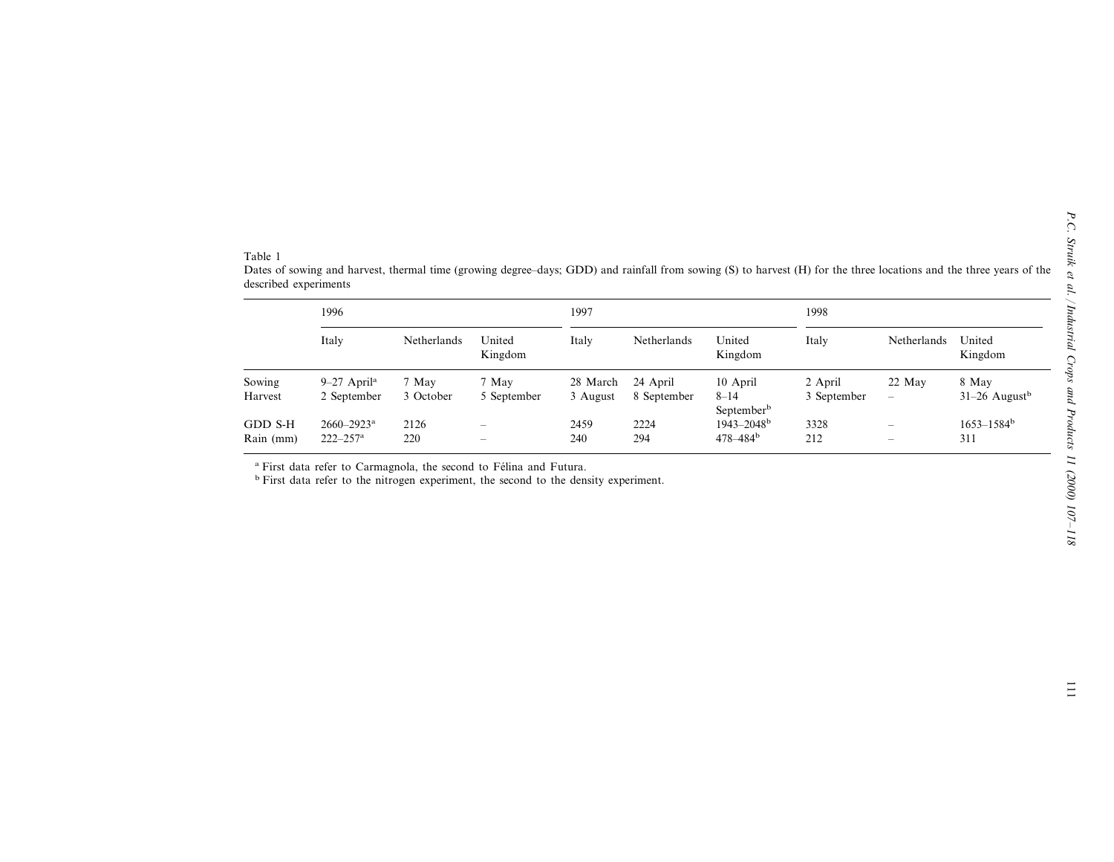# Table 1

Dates of sowing and harvest, thermal time (growing degree–days; GDD) and rainfall from sowing (S) to harvest (H) for the three locations and the three years of the described experiments

|           | 1996                       |             |                                 | 1997     |             |                                    | 1998        |                                 |                             |  |
|-----------|----------------------------|-------------|---------------------------------|----------|-------------|------------------------------------|-------------|---------------------------------|-----------------------------|--|
|           | Italy                      | Netherlands | United<br>Kingdom               | Italy    | Netherlands | United<br>Kingdom                  | Italy       | Netherlands                     | United<br>Kingdom           |  |
| Sowing    | $9-27$ April <sup>a</sup>  | 7 May       | 7 May                           | 28 March | 24 April    | 10 April                           | 2 April     | 22 May                          | 8 May                       |  |
| Harvest   | 2 September                | 3 October   | 5 September                     | 3 August | 8 September | $8 - 14$<br>September <sup>b</sup> | 3 September | $\qquad \qquad -$               | $31-26$ August <sup>b</sup> |  |
| GDD S-H   | $2660 - 2923$ <sup>a</sup> | 2126        | $\overline{\phantom{a}}$        | 2459     | 2224        | $1943 - 2048$ <sup>b</sup>         | 3328        | $\overline{\phantom{m}}$        | $1653 - 1584^b$             |  |
| Rain (mm) | $222 - 257$ <sup>a</sup>   | 220         | $\hspace{0.1mm}-\hspace{0.1mm}$ | 240      | 294         | $478 - 484$ <sup>b</sup>           | 212         | $\hspace{0.1mm}-\hspace{0.1mm}$ | 311                         |  |

<sup>a</sup> First data refer to Carmagnola, the second to Félina and Futura.<br><sup>b</sup> First data refer to the nitrogen experiment, the second to the density experiment.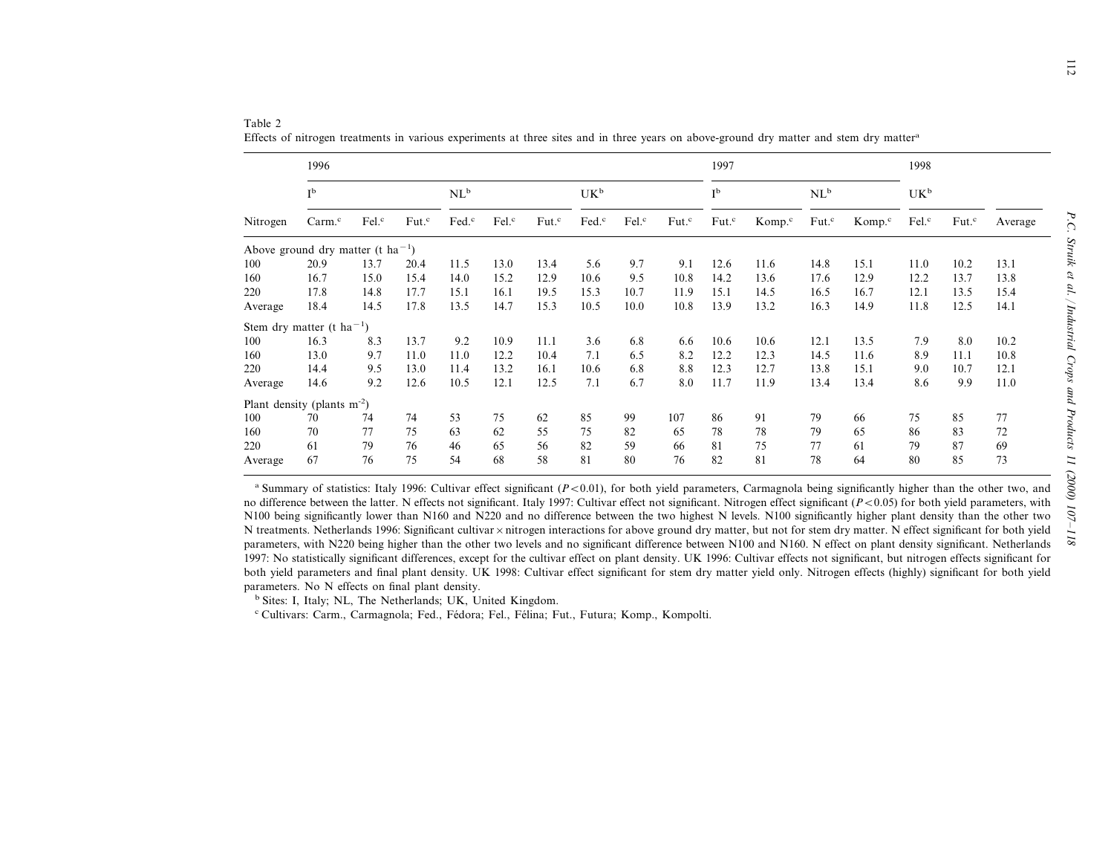|          | 1996                                          |                   |                   |                            |                   |                  |                            |                   |                  | 1997             |                     |                   |                     | 1998              |                     |         |
|----------|-----------------------------------------------|-------------------|-------------------|----------------------------|-------------------|------------------|----------------------------|-------------------|------------------|------------------|---------------------|-------------------|---------------------|-------------------|---------------------|---------|
| Nitrogen | I <sub>p</sub>                                |                   |                   | $\mathrm{NL}^{\mathrm{b}}$ |                   |                  | $\mathrm{UK}^{\mathrm{b}}$ |                   |                  | I <sub>p</sub>   |                     | $NL^b$            |                     | UKb               |                     |         |
|          | Carm <sup>c</sup>                             | Fel. <sup>c</sup> | Fut. <sup>c</sup> | Fed. <sup>c</sup>          | Fel. <sup>c</sup> | Fut <sup>c</sup> | Fed. <sup>c</sup>          | Fel. <sup>c</sup> | Fut <sup>c</sup> | Fut <sup>c</sup> | $Komo$ <sup>c</sup> | Fut. <sup>c</sup> | $Komo$ <sup>c</sup> | Fel. <sup>c</sup> | $Fut.$ <sup>c</sup> | Average |
|          | Above ground dry matter (t ha <sup>-1</sup> ) |                   |                   |                            |                   |                  |                            |                   |                  |                  |                     |                   |                     |                   |                     |         |
| 100      | 20.9                                          | 13.7              | 20.4              | 11.5                       | 13.0              | 13.4             | 5.6                        | 9.7               | 9.1              | 12.6             | 11.6                | 14.8              | 15.1                | 11.0              | 10.2                | 13.1    |
| 160      | 16.7                                          | 15.0              | 15.4              | 14.0                       | 15.2              | 12.9             | 10.6                       | 9.5               | 10.8             | 14.2             | 13.6                | 17.6              | 12.9                | 12.2              | 13.7                | 13.8    |
| 220      | 17.8                                          | 14.8              | 17.7              | 15.1                       | 16.1              | 19.5             | 15.3                       | 10.7              | 11.9             | 15.1             | 14.5                | 16.5              | 16.7                | 12.1              | 13.5                | 15.4    |
| Average  | 18.4                                          | 14.5              | 17.8              | 13.5                       | 14.7              | 15.3             | 10.5                       | 10.0              | 10.8             | 13.9             | 13.2                | 16.3              | 14.9                | 11.8              | 12.5                | 14.1    |
|          | Stem dry matter (t $ha^{-1}$ )                |                   |                   |                            |                   |                  |                            |                   |                  |                  |                     |                   |                     |                   |                     |         |
| 100      | 16.3                                          | 8.3               | 13.7              | 9.2                        | 10.9              | 11.1             | 3.6                        | 6.8               | 6.6              | 10.6             | 10.6                | 12.1              | 13.5                | 7.9               | 8.0                 | 10.2    |
| 160      | 13.0                                          | 9.7               | 11.0              | 11.0                       | 12.2              | 10.4             | 7.1                        | 6.5               | 8.2              | 12.2             | 12.3                | 14.5              | 11.6                | 8.9               | 11.1                | 10.8    |
| 220      | 14.4                                          | 9.5               | 13.0              | 11.4                       | 13.2              | 16.1             | 10.6                       | 6.8               | 8.8              | 12.3             | 12.7                | 13.8              | 15.1                | 9.0               | 10.7                | 12.1    |
| Average  | 14.6                                          | 9.2               | 12.6              | 10.5                       | 12.1              | 12.5             | 7.1                        | 6.7               | 8.0              | 11.7             | 11.9                | 13.4              | 13.4                | 8.6               | 9.9                 | 11.0    |
|          | Plant density (plants $m^{-2}$ )              |                   |                   |                            |                   |                  |                            |                   |                  |                  |                     |                   |                     |                   |                     |         |
| 100      | 70                                            | 74                | 74                | 53                         | 75                | 62               | 85                         | 99                | 107              | 86               | 91                  | 79                | 66                  | 75                | 85                  | 77      |
| 160      | 70                                            | 77                | 75                | 63                         | 62                | 55               | 75                         | 82                | 65               | 78               | 78                  | 79                | 65                  | 86                | 83                  | 72      |
| 220      | 61                                            | 79                | 76                | 46                         | 65                | 56               | 82                         | 59                | 66               | 81               | 75                  | 77                | 61                  | 79                | 87                  | 69      |
| Average  | 67                                            | 76                | 75                | 54                         | 68                | 58               | 81                         | 80                | 76               | 82               | 81                  | 78                | 64                  | 80                | 85                  | 73      |

1997: No statistically significant differences, except for the cultivar effect on plant density. UK 1996: Cultivar effects not significant, but nitrogen effects significant for both yield parameters and final plant density. UK 1998: Cultivar effect significant for stem dry matter yield only. Nitrogen effects (highly) significant for both yield parameters. No N effects on final plant density.

<sup>b</sup> Sites: I, Italy; NL, The Netherlands; UK, United Kingdom.

<sup>c</sup> Cultivars: Carm., Carmagnola; Fed., Fédora; Fel., Félina; Fut., Futura; Komp., Kompolti.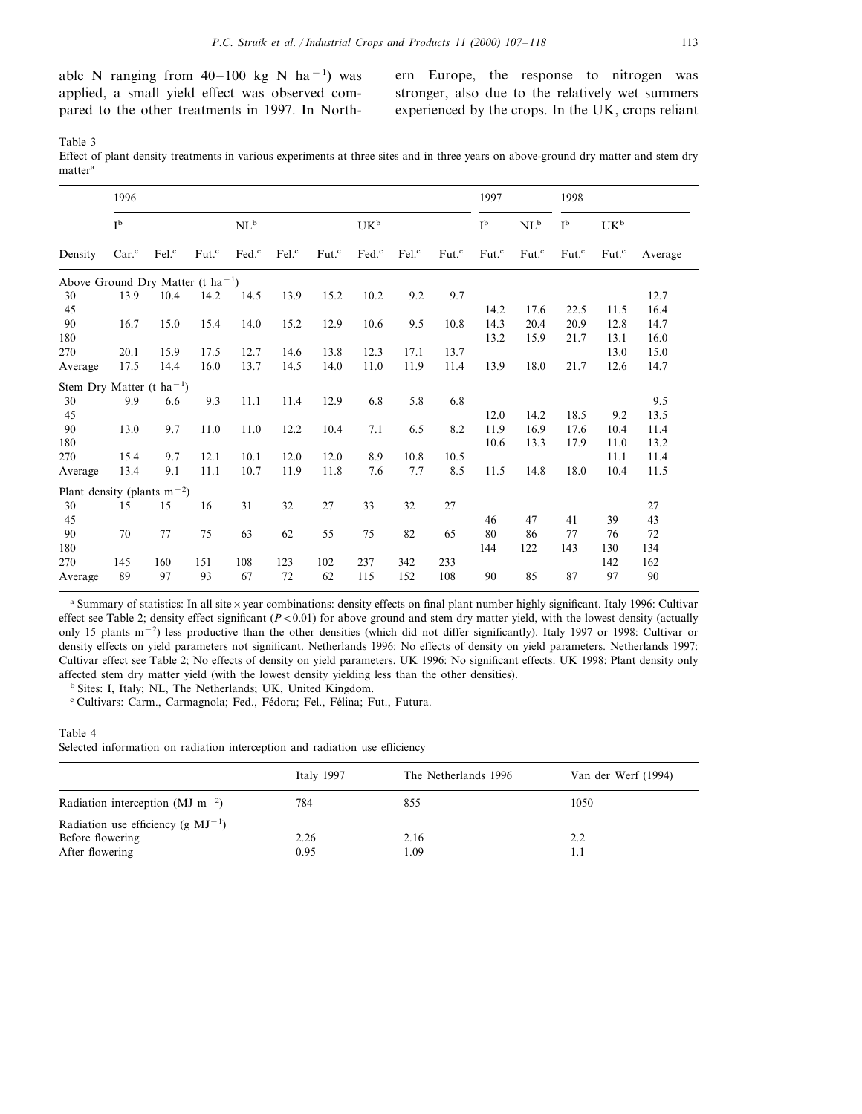able N ranging from  $40-100$  kg N ha<sup>-1</sup>) was applied, a small yield effect was observed compared to the other treatments in 1997. In Northern Europe, the response to nitrogen was stronger, also due to the relatively wet summers experienced by the crops. In the UK, crops reliant

Table 3

Effect of plant density treatments in various experiments at three sites and in three years on above-ground dry matter and stem dry matter<sup>a</sup>

|                                               | 1996             |                   |                   |                   |                   |                   |                   |                   |                   |                     |                   | 1998           |                     |         |
|-----------------------------------------------|------------------|-------------------|-------------------|-------------------|-------------------|-------------------|-------------------|-------------------|-------------------|---------------------|-------------------|----------------|---------------------|---------|
| Density                                       | I <sub>p</sub>   |                   |                   | $NL^b$            |                   |                   | UK <sup>b</sup>   |                   |                   | I <sub>p</sub>      | $NL^b$            | I <sub>p</sub> | $U K^b$             |         |
|                                               | Car <sup>c</sup> | Fel. <sup>c</sup> | Fut. <sup>c</sup> | Fed. <sup>c</sup> | Fel. <sup>c</sup> | Fut. <sup>c</sup> | Fed. <sup>c</sup> | Fel. <sup>c</sup> | Fut. <sup>c</sup> | $Put.$ <sup>c</sup> | Fut. <sup>c</sup> | Put. c         | $Fut.$ <sup>c</sup> | Average |
| Above Ground Dry Matter (t ha <sup>-1</sup> ) |                  |                   |                   |                   |                   |                   |                   |                   |                   |                     |                   |                |                     |         |
| 30                                            | 13.9             | 10.4              | 14.2              | 14.5              | 13.9              | 15.2              | 10.2              | 9.2               | 9.7               |                     |                   |                |                     | 12.7    |
| 45                                            |                  |                   |                   |                   |                   |                   |                   |                   |                   | 14.2                | 17.6              | 22.5           | 11.5                | 16.4    |
| 90                                            | 16.7             | 15.0              | 15.4              | 14.0              | 15.2              | 12.9              | 10.6              | 9.5               | 10.8              | 14.3                | 20.4              | 20.9           | 12.8                | 14.7    |
| 180                                           |                  |                   |                   |                   |                   |                   |                   |                   |                   | 13.2                | 15.9              | 21.7           | 13.1                | 16.0    |
| 270                                           | 20.1             | 15.9              | 17.5              | 12.7              | 14.6              | 13.8              | 12.3              | 17.1              | 13.7              |                     |                   |                | 13.0                | 15.0    |
| Average                                       | 17.5             | 14.4              | 16.0              | 13.7              | 14.5              | 14.0              | 11.0              | 11.9              | 11.4              | 13.9                | 18.0              | 21.7           | 12.6                | 14.7    |
| Stem Dry Matter (t ha <sup>-1</sup> )         |                  |                   |                   |                   |                   |                   |                   |                   |                   |                     |                   |                |                     |         |
| 30                                            | 9.9              | 6.6               | 9.3               | 11.1              | 11.4              | 12.9              | 6.8               | 5.8               | 6.8               |                     |                   |                |                     | 9.5     |
| 45                                            |                  |                   |                   |                   |                   |                   |                   |                   |                   | 12.0                | 14.2              | 18.5           | 9.2                 | 13.5    |
| 90                                            | 13.0             | 9.7               | 11.0              | 11.0              | 12.2              | 10.4              | 7.1               | 6.5               | 8.2               | 11.9                | 16.9              | 17.6           | 10.4                | 11.4    |
| 180                                           |                  |                   |                   |                   |                   |                   |                   |                   |                   | 10.6                | 13.3              | 17.9           | 11.0                | 13.2    |
| 270                                           | 15.4             | 9.7               | 12.1              | 10.1              | 12.0              | 12.0              | 8.9               | 10.8              | 10.5              |                     |                   |                | 11.1                | 11.4    |
| Average                                       | 13.4             | 9.1               | 11.1              | 10.7              | 11.9              | 11.8              | 7.6               | 7.7               | 8.5               | 11.5                | 14.8              | 18.0           | 10.4                | 11.5    |
| Plant density (plants $m^{-2}$ )              |                  |                   |                   |                   |                   |                   |                   |                   |                   |                     |                   |                |                     |         |
| 30                                            | 15               | 15                | 16                | 31                | 32                | 27                | 33                | 32                | 27                |                     |                   |                |                     | 27      |
| 45                                            |                  |                   |                   |                   |                   |                   |                   |                   |                   | 46                  | 47                | 41             | 39                  | 43      |
| 90                                            | 70               | 77                | 75                | 63                | 62                | 55                | 75                | 82                | 65                | 80                  | 86                | 77             | 76                  | 72      |
| 180                                           |                  |                   |                   |                   |                   |                   |                   |                   |                   | 144                 | 122               | 143            | 130                 | 134     |
| 270                                           | 145              | 160               | 151               | 108               | 123               | 102               | 237               | 342               | 233               |                     |                   |                | 142                 | 162     |
| Average                                       | 89               | 97                | 93                | 67                | 72                | 62                | 115               | 152               | 108               | 90                  | 85                | 87             | 97                  | 90      |

<sup>a</sup> Summary of statistics: In all site  $\times$  year combinations: density effects on final plant number highly significant. Italy 1996: Cultivar effect see Table 2; density effect significant  $(P<0.01)$  for above ground and stem dry matter yield, with the lowest density (actually only 15 plants m−<sup>2</sup> ) less productive than the other densities (which did not differ significantly). Italy 1997 or 1998: Cultivar or density effects on yield parameters not significant. Netherlands 1996: No effects of density on yield parameters. Netherlands 1997: Cultivar effect see Table 2; No effects of density on yield parameters. UK 1996: No significant effects. UK 1998: Plant density only affected stem dry matter yield (with the lowest density yielding less than the other densities).

<sup>b</sup> Sites: I, Italy; NL, The Netherlands; UK, United Kingdom.

<sup>c</sup> Cultivars: Carm., Carmagnola; Fed., Fédora; Fel., Félina; Fut., Futura.

#### Table 4

Selected information on radiation interception and radiation use efficiency

|                                                             | Italy 1997 | The Netherlands 1996 | Van der Werf (1994) |
|-------------------------------------------------------------|------------|----------------------|---------------------|
| Radiation interception (MJ m <sup><math>-2</math></sup> )   | 784        | 855                  | 1050                |
| Radiation use efficiency (g $MJ^{-1}$ )<br>Before flowering | 2.26       | 2.16                 | 2.2                 |
| After flowering                                             | 0.95       | 1.09                 | 1.1                 |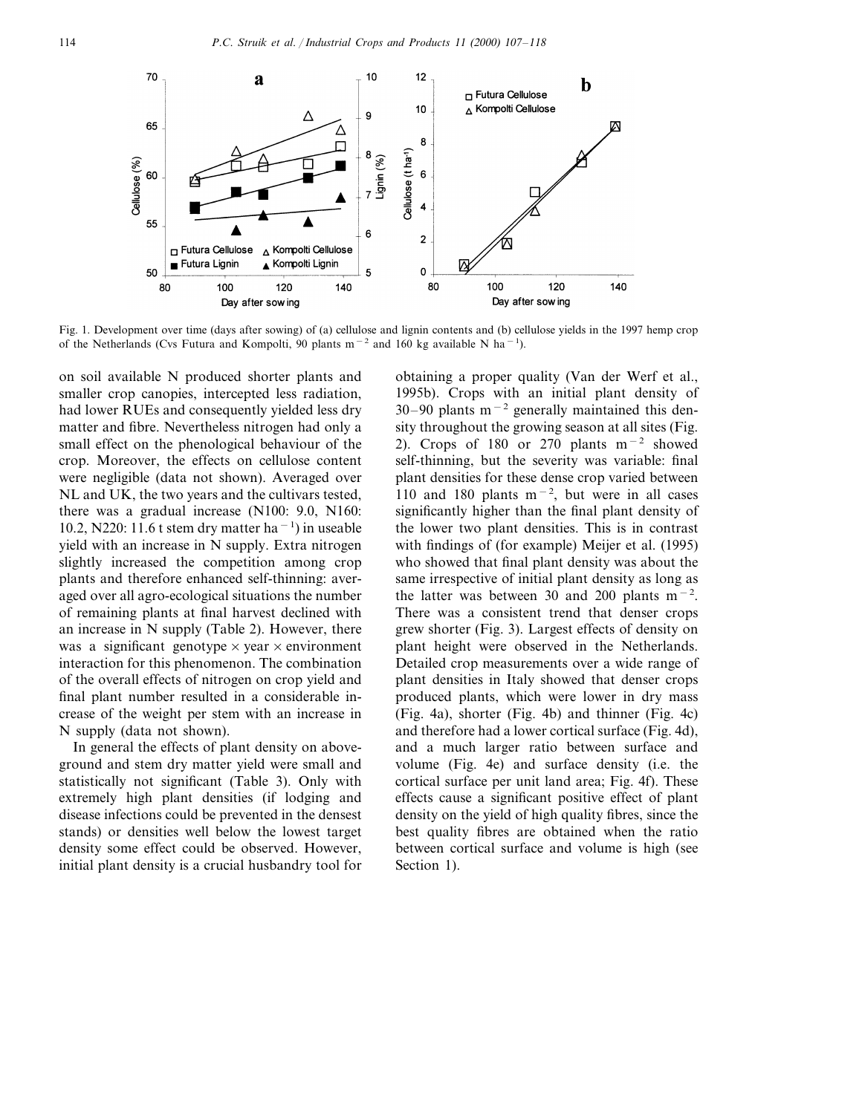

Fig. 1. Development over time (days after sowing) of (a) cellulose and lignin contents and (b) cellulose yields in the 1997 hemp crop of the Netherlands (Cvs Futura and Kompolti, 90 plants m<sup>-2</sup> and 160 kg available N ha<sup>-1</sup>).

on soil available N produced shorter plants and smaller crop canopies, intercepted less radiation, had lower RUEs and consequently yielded less dry matter and fibre. Nevertheless nitrogen had only a small effect on the phenological behaviour of the crop. Moreover, the effects on cellulose content were negligible (data not shown). Averaged over NL and UK, the two years and the cultivars tested, there was a gradual increase (N100: 9.0, N160: 10.2, N220: 11.6 t stem dry matter ha<sup>−</sup><sup>1</sup> ) in useable yield with an increase in N supply. Extra nitrogen slightly increased the competition among crop plants and therefore enhanced self-thinning: averaged over all agro-ecological situations the number of remaining plants at final harvest declined with an increase in N supply (Table 2). However, there was a significant genotype  $\times$  year  $\times$  environment interaction for this phenomenon. The combination of the overall effects of nitrogen on crop yield and final plant number resulted in a considerable increase of the weight per stem with an increase in N supply (data not shown).

In general the effects of plant density on aboveground and stem dry matter yield were small and statistically not significant (Table 3). Only with extremely high plant densities (if lodging and disease infections could be prevented in the densest stands) or densities well below the lowest target density some effect could be observed. However, initial plant density is a crucial husbandry tool for obtaining a proper quality (Van der Werf et al., 1995b). Crops with an initial plant density of 30–90 plants m<sup>−</sup><sup>2</sup> generally maintained this density throughout the growing season at all sites (Fig. 2). Crops of 180 or 270 plants  $m^{-2}$  showed self-thinning, but the severity was variable: final plant densities for these dense crop varied between 110 and 180 plants m<sup>−</sup><sup>2</sup> , but were in all cases significantly higher than the final plant density of the lower two plant densities. This is in contrast with findings of (for example) Meijer et al. (1995) who showed that final plant density was about the same irrespective of initial plant density as long as the latter was between 30 and 200 plants  $m^{-2}$ . There was a consistent trend that denser crops grew shorter (Fig. 3). Largest effects of density on plant height were observed in the Netherlands. Detailed crop measurements over a wide range of plant densities in Italy showed that denser crops produced plants, which were lower in dry mass (Fig. 4a), shorter (Fig. 4b) and thinner (Fig. 4c) and therefore had a lower cortical surface (Fig. 4d), and a much larger ratio between surface and volume (Fig. 4e) and surface density (i.e. the cortical surface per unit land area; Fig. 4f). These effects cause a significant positive effect of plant density on the yield of high quality fibres, since the best quality fibres are obtained when the ratio between cortical surface and volume is high (see Section 1).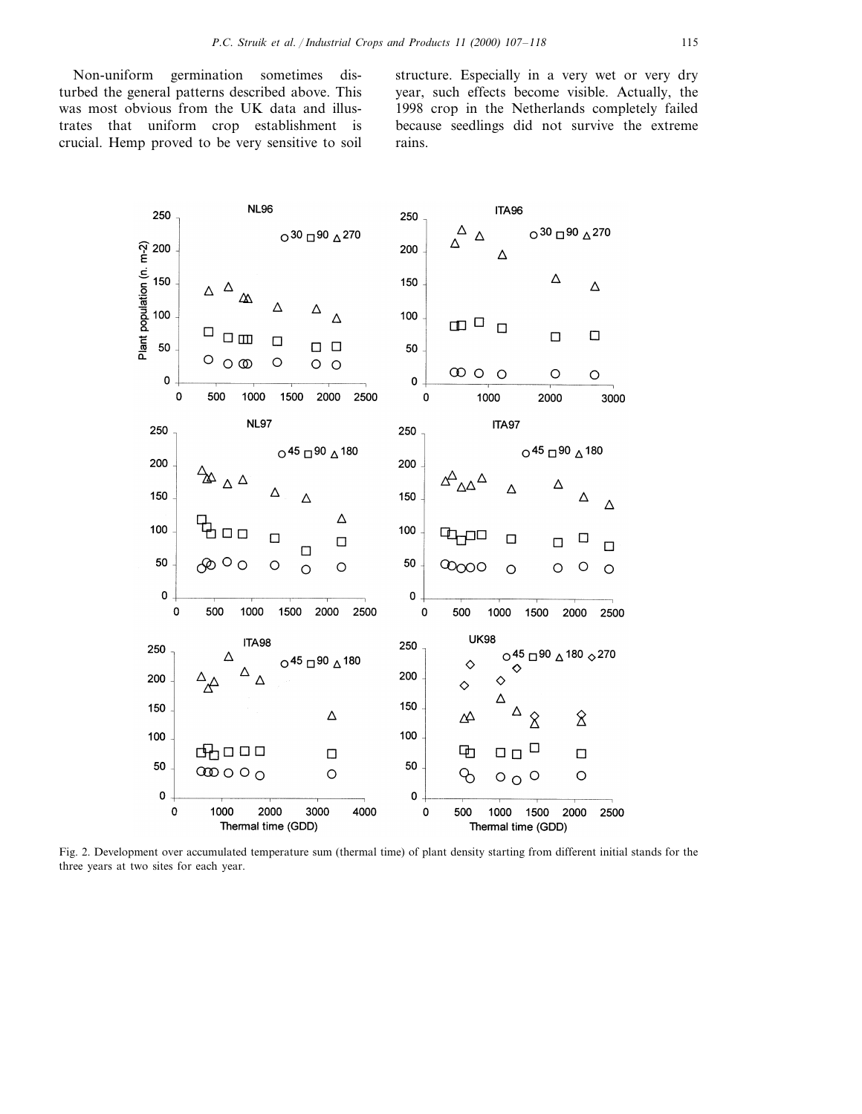structure. Especially in a very wet or very dry year, such effects become visible. Actually, the 1998 crop in the Netherlands completely failed because seedlings did not survive the extreme rains.



Fig. 2. Development over accumulated temperature sum (thermal time) of plant density starting from different initial stands for the three years at two sites for each year.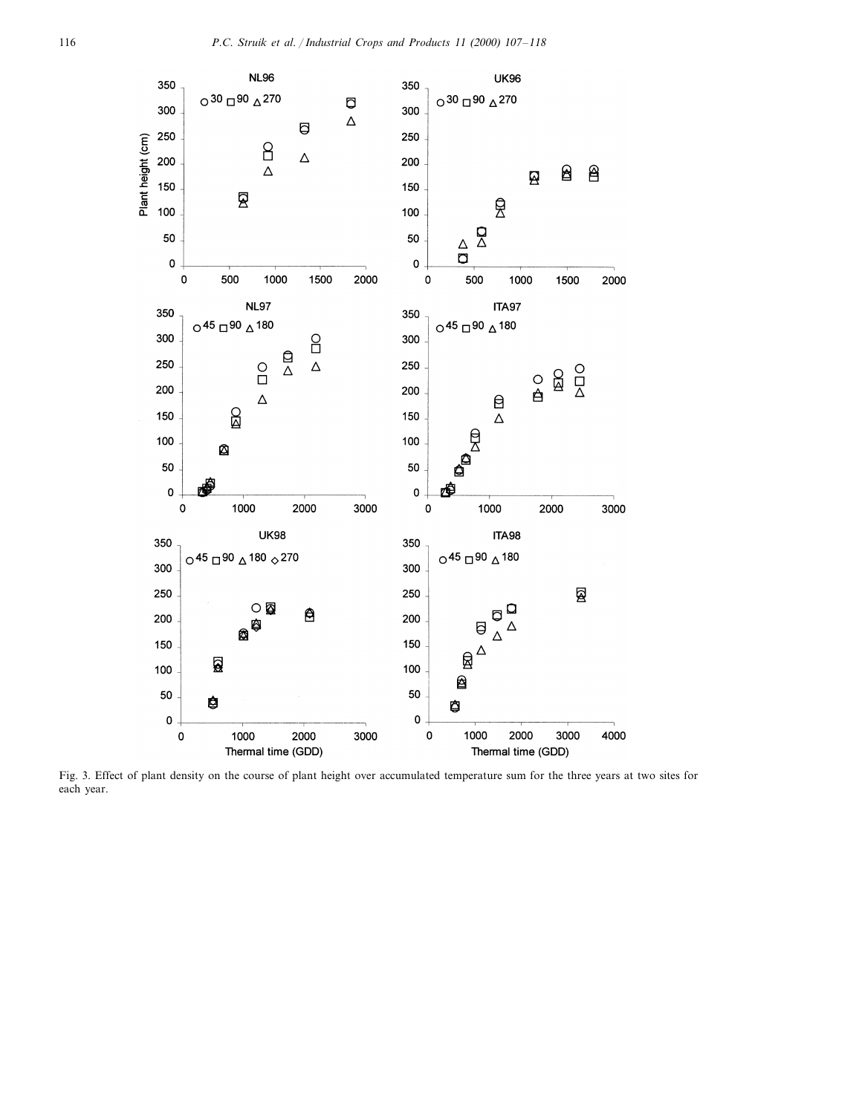

Fig. 3. Effect of plant density on the course of plant height over accumulated temperature sum for the three years at two sites for each year.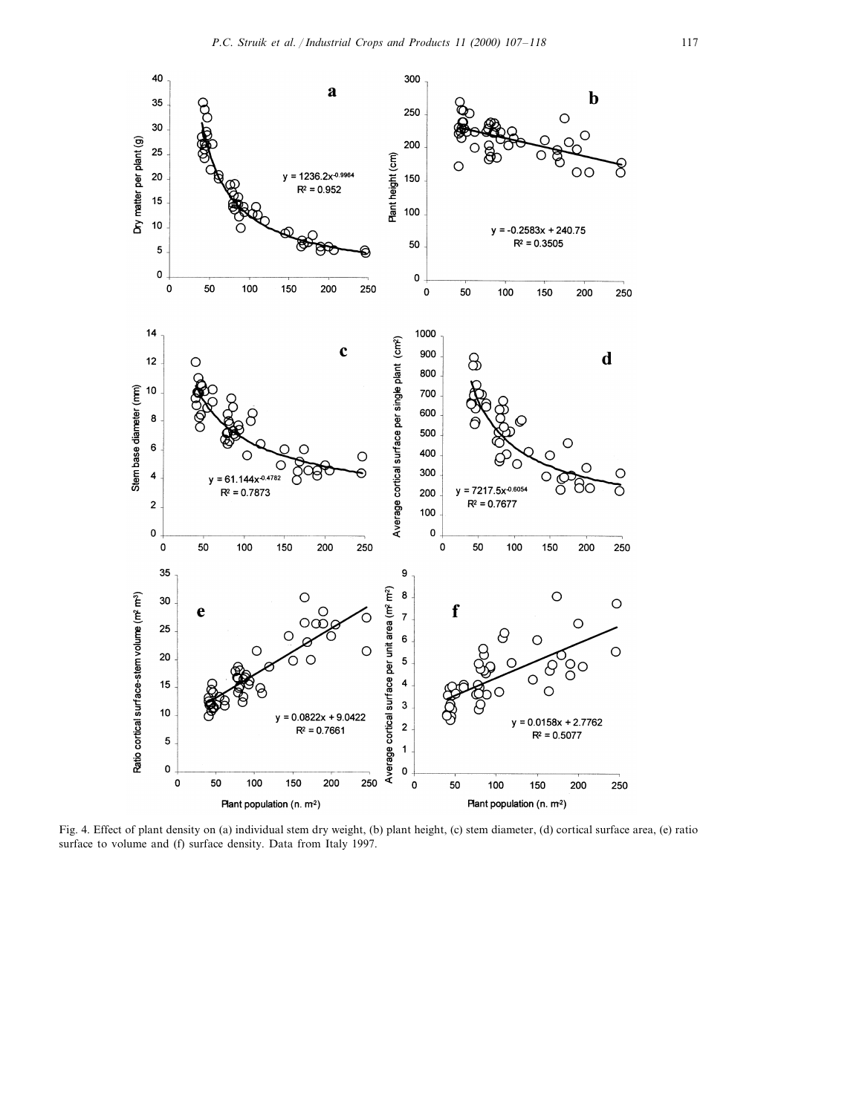

Fig. 4. Effect of plant density on (a) individual stem dry weight, (b) plant height, (c) stem diameter, (d) cortical surface area, (e) ratio surface to volume and (f) surface density. Data from Italy 1997.